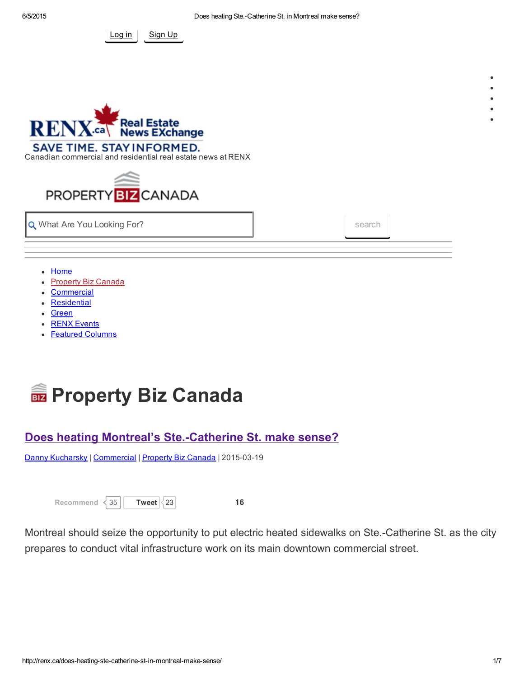



Canadian [commercial](http://renx.ca/) and residential real estate news at RENX



**Q** What Are You Looking For? search search search

- [Home](http://renx.ca/)
- **[Property](http://renx.ca/category/property-biz/) Biz Canada**
- **[Commercial](http://renx.ca/category/commercial/)**
- **[Residential](http://renx.ca/category/residential/)**
- [Green](http://renx.ca/category/green/)
- RENX [Events](http://renx.ca/renx-events/)
- [Featured](http://renx.ca/featured-columnists/) Columns



# Does heating Montreal's Ste.-Catherine St. make sense?

Danny [Kucharsky](http://renx.ca/author/dkucharsky/) | [Commercial](http://renx.ca/category/commercial/) | [Property](http://renx.ca/category/property-biz/) Biz Canada | 2015-03-19

| Recommend | $<$ 35 | <b>Twee</b> |
|-----------|--------|-------------|
|-----------|--------|-------------|

et  $\begin{vmatrix} 23 \end{vmatrix}$  $\begin{vmatrix} 23 \end{vmatrix}$  $\begin{vmatrix} 23 \end{vmatrix}$  16

Montreal should seize the opportunity to put electric heated sidewalks on Ste.-Catherine St. as the city prepares to conduct vital infrastructure work on its main downtown commercial street.

 $\bullet$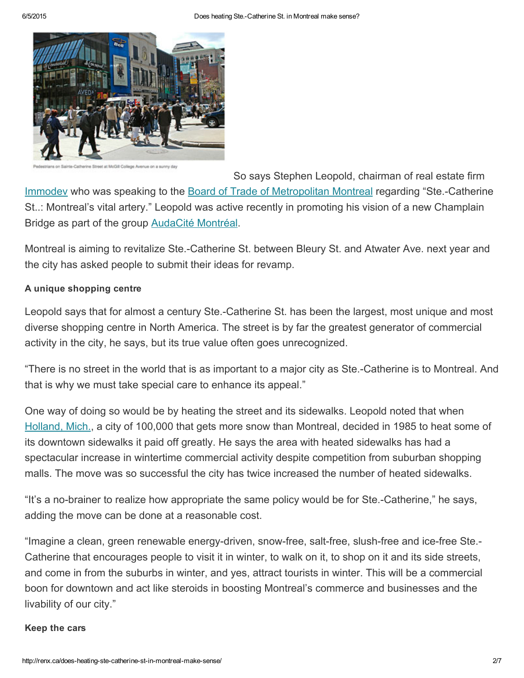

it at McGill College Avenue on a sunny day

[S](http://renx.ca/wp-content/uploads/2015/03/SteCatherinesSt.jpg)o says Stephen Leopold, chairman of real estate firm [Immodev](http://www.immodev.ca/?lang=en) who was speaking to the Board of Trade of [Metropolitan](http://www.btmm.qc.ca/) Montreal regarding "Ste.-Catherine St..: Montreal's vital artery." Leopold was active recently in promoting his vision of a new Champlain

Bridge as part of the group [AudaCité](http://www.audacitemontreal.com/#!about-us/cmux) Montréal.

Montreal is aiming to revitalize Ste.-Catherine St. between Bleury St. and Atwater Ave. next year and the city has asked people to submit their ideas for revamp.

### A unique shopping centre

Leopold says that for almost a century Ste.-Catherine St. has been the largest, most unique and most diverse shopping centre in North America. The street is by far the greatest generator of commercial activity in the city, he says, but its true value often goes unrecognized.

"There is no street in the world that is as important to a major city as Ste.-Catherine is to Montreal. And that is why we must take special care to enhance its appeal."

One way of doing so would be by heating the street and its sidewalks. Leopold noted that when [Holland,](http://www.holland.org/) Mich., a city of 100,000 that gets more snow than Montreal, decided in 1985 to heat some of its downtown sidewalks it paid off greatly. He says the area with heated sidewalks has had a spectacular increase in wintertime commercial activity despite competition from suburban shopping malls. The move was so successful the city has twice increased the number of heated sidewalks.

"It's a no-brainer to realize how appropriate the same policy would be for Ste.-Catherine," he says, adding the move can be done at a reasonable cost.

"Imagine a clean, green renewable energy-driven, snow-free, salt-free, slush-free and ice-free Ste.-Catherine that encourages people to visit it in winter, to walk on it, to shop on it and its side streets, and come in from the suburbs in winter, and yes, attract tourists in winter. This will be a commercial boon for downtown and act like steroids in boosting Montreal's commerce and businesses and the livability of our city."

#### Keep the cars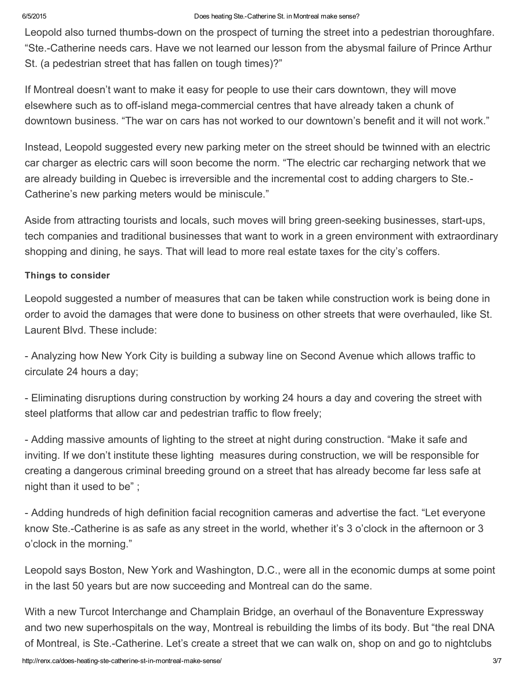Leopold also turned thumbs-down on the prospect of turning the street into a pedestrian thoroughfare. "Ste.Catherine needs cars. Have we not learned our lesson from the abysmal failure of Prince Arthur St. (a pedestrian street that has fallen on tough times)?"

If Montreal doesn't want to make it easy for people to use their cars downtown, they will move elsewhere such as to off-island mega-commercial centres that have already taken a chunk of downtown business. "The war on cars has not worked to our downtown's benefit and it will not work."

Instead, Leopold suggested every new parking meter on the street should be twinned with an electric car charger as electric cars will soon become the norm. "The electric car recharging network that we are already building in Quebec is irreversible and the incremental cost to adding chargers to Ste. Catherine's new parking meters would be miniscule."

Aside from attracting tourists and locals, such moves will bring green-seeking businesses, start-ups, tech companies and traditional businesses that want to work in a green environment with extraordinary shopping and dining, he says. That will lead to more real estate taxes for the city's coffers.

### Things to consider

Leopold suggested a number of measures that can be taken while construction work is being done in order to avoid the damages that were done to business on other streets that were overhauled, like St. Laurent Blvd. These include:

 Analyzing how New York City is building a subway line on Second Avenue which allows traffic to circulate 24 hours a day;

 Eliminating disruptions during construction by working 24 hours a day and covering the street with steel platforms that allow car and pedestrian traffic to flow freely;

 Adding massive amounts of lighting to the street at night during construction. "Make it safe and inviting. If we don't institute these lighting measures during construction, we will be responsible for creating a dangerous criminal breeding ground on a street that has already become far less safe at night than it used to be" ;

 Adding hundreds of high definition facial recognition cameras and advertise the fact. "Let everyone know Ste.-Catherine is as safe as any street in the world, whether it's 3 o'clock in the afternoon or 3 o'clock in the morning."

Leopold says Boston, New York and Washington, D.C., were all in the economic dumps at some point in the last 50 years but are now succeeding and Montreal can do the same.

With a new Turcot Interchange and Champlain Bridge, an overhaul of the Bonaventure Expressway and two new superhospitals on the way, Montreal is rebuilding the limbs of its body. But "the real DNA of Montreal, is Ste.Catherine. Let's create a street that we can walk on, shop on and go to nightclubs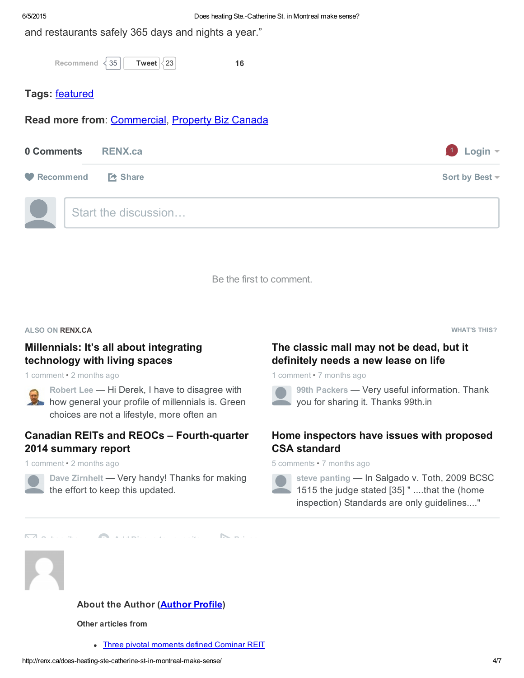and restaurants safely 365 days and nights a year."

```
Recommend \leq 35
```
[Tweet](https://twitter.com/intent/tweet?original_referer=http%3A%2F%2Frenx.ca%2Fdoes-heating-ste-catherine-st-in-montreal-make-sense%2F&text=Does%20heating%20Montreal%E2%80%99s%20Ste.-Catherine%20St.%20make%20sense%3F%20&tw_p=tweetbutton&url=http%3A%2F%2Frenx.ca%2Fdoes-heating-ste-catherine-st-in-montreal-make-sense%2F&via=RENXca)  $\langle 23 \vert$  $\langle 23 \vert$  $\langle 23 \vert$  16

## Tags: [featured](http://renx.ca/tag/featured/)

Read more from: [Commercial](http://renx.ca/category/commercial/), [Property](http://renx.ca/category/property-biz/) Biz Canada

| 0 Comments         | <b>RENX.ca</b>       | $1$ Login $\sim$    |
|--------------------|----------------------|---------------------|
| Recommend LA Share |                      | Sort by Best $\sim$ |
|                    | Start the discussion |                     |

Be the first to comment.

ALSO ON RENX.CA

### [Millennials:](http://disq.us/url?url=http%3A%2F%2Frenx.ca%2Fmillennial-generation-integrating-technology-living-spaces%2F%3Au_ZJZv9mvOMnL1BJ-sOYUR7_XAw&imp=38biamf2v3lc6f&prev_imp&forum_id=3216579&forum=renx&thread_id=3585162618&major_version=metadata&thread=3626390769&zone=thread&area=discovery) It's all about integrating technology with living spaces

1 comment • 2 months ago



#### economic choice (with a pat on the back for Canadian REITs and REOCs - Fourth-quarter 2014 summary report

1 comment • 2 months ago



Dave Zirnhelt - Very handy! Thanks for making the effort to keep this [updated.](http://disq.us/url?url=http%3A%2F%2Frenx.ca%2Fcanadian-reits-reocs-fourth-quarter-2014-summary-report%2F%3ATfY0gWt9N2WgUqxuNvmUKlSDsyI&imp=38biamf2v3lc6f&prev_imp&forum_id=3216579&forum=renx&thread_id=3585162618&major_version=metadata&thread=3683842106&zone=thread&area=discovery)

 $\nabla$ add [Disqus](https://disqus.com/websites/?utm_source=renx&utm_medium=Disqus-Footer) to your site  $\nabla$ 

WHAT'S THIS?

## The classic mall may not be dead, but it [definitely](http://disq.us/url?url=http%3A%2F%2Frenx.ca%2Fthe-classic-mall-may-not-be-dead-but-it-definitely-needs-a-new-lease-on-life%2F%3AmvzwLM2-gY9Y0Au6PN7_u3GJex0&imp=38biamf2v3lc6f&prev_imp&forum_id=3216579&forum=renx&thread_id=3585162618&major_version=metadata&thread=3224163746&zone=thread&area=discovery) needs a new lease on life

1 comment • 7 months ago



99th Packers — Very useful [information.](http://disq.us/url?url=http%3A%2F%2Frenx.ca%2Fthe-classic-mall-may-not-be-dead-but-it-definitely-needs-a-new-lease-on-life%2F%3AmvzwLM2-gY9Y0Au6PN7_u3GJex0&imp=38biamf2v3lc6f&prev_imp&forum_id=3216579&forum=renx&thread_id=3585162618&major_version=metadata&thread=3224163746&zone=thread&area=discovery) Thank you for sharing it. Thanks 99th.in

## Home [inspectors](http://disq.us/url?url=http%3A%2F%2Frenx.ca%2Fcsa-home-inspection-standard-challenged-by-cahpi%2F%3AQQmnzBwSuH-VwcJoz3ms-gdyl8E&imp=38biamf2v3lc6f&prev_imp&forum_id=3216579&forum=renx&thread_id=3585162618&major_version=metadata&thread=3239851038&zone=thread&area=discovery) have issues with proposed CSA standard

5 comments • 7 months ago



steve panting - In Salgado v. Toth, 2009 BCSC 1515 the judge stated [35] " ....that the (home inspection) Standards are only [guidelines...."](http://disq.us/url?url=http%3A%2F%2Frenx.ca%2Fcsa-home-inspection-standard-challenged-by-cahpi%2F%3AQQmnzBwSuH-VwcJoz3ms-gdyl8E&imp=38biamf2v3lc6f&prev_imp&forum_id=3216579&forum=renx&thread_id=3585162618&major_version=metadata&thread=3239851038&zone=thread&area=discovery)



### About the [Author](http://renx.ca/?author=1352) (**Author Profile**)

Other articles from

• Three pivotal [moments](http://renx.ca/cominar-reit/) defined Cominar REIT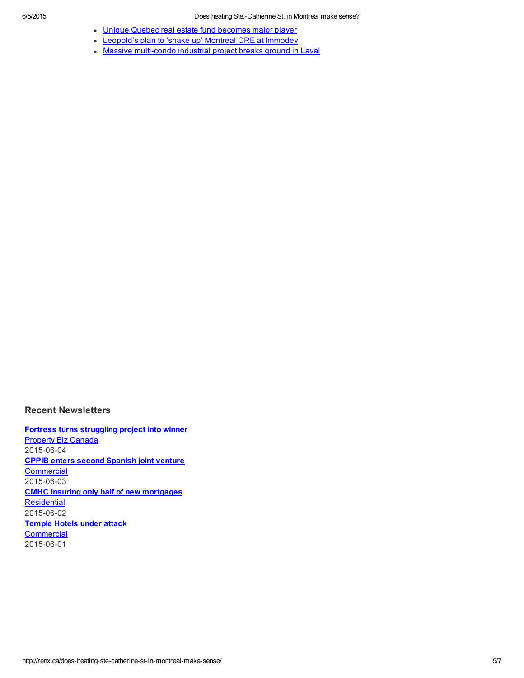- Unique Quebec real estate fund [becomes](http://renx.ca/ftq-real-estate-fund-in-quebec-becomes-major-player/) major player
- [Leopold's](http://renx.ca/leopold/) plan to 'shake up' Montreal CRE at Immodev
- Massive multi-condo industrial project breaks ground in Laval

#### Recent Newsletters

Fortress turns [struggling](http://renx.ca/newsletter/property-biz-canada-news-june-4-2015/) project into winner **[Property](http://renx.ca/category/property-biz/) Biz Canada** 2015-06-04 CPPIB enters second [Spanish](http://renx.ca/newsletter/commercial-real-estate-news-june-3-2015/) joint venture **[Commercial](http://renx.ca/category/commercial/)** 2015-06-03 CMHC insuring only half of new [mortgages](http://renx.ca/newsletter/residential-real-estate-news-june-2-2015/) **[Residential](http://renx.ca/category/residential/)** 2015-06-02 [Temple](http://renx.ca/newsletter/commercial-real-estate-news-june-1-2015/) Hotels under attack **[Commercial](http://renx.ca/category/commercial/)** 2015-06-01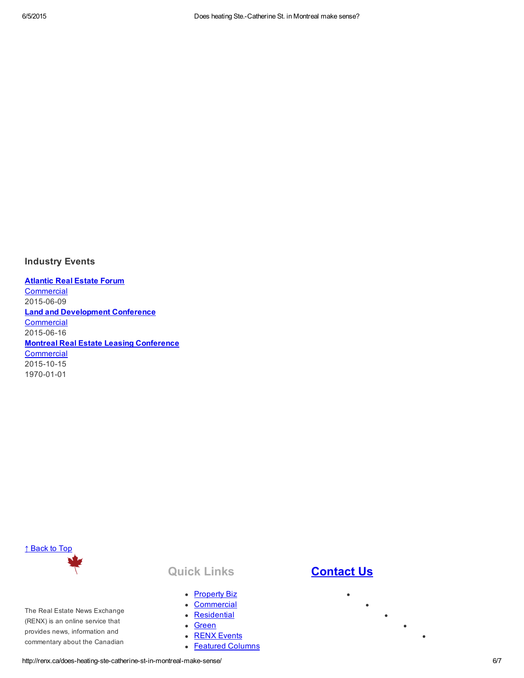#### Industry Events

[Atlantic](http://www.realestateforums.com/atlanticref/en/index.php) Real Estate Forum **[Commercial](http://renx.ca/category/commercial/)** 2015-06-09 Land and [Development](http://realestateforums.com/landconference/en/index.php) Conference **[Commercial](http://renx.ca/category/commercial/)** 2015-06-16 **Montreal Real Estate Leasing [Conference](http://www.realestateforums.com/montrealrel/en/index.php) [Commercial](http://renx.ca/category/commercial/)** 2015-10-15 1970-01-01



The Real Estate News Exchange (RENX) is an online service that provides news, information and commentary about the Canadian

### Quick Links

- [Property](http://renx.ca/category/property-biz/) Biz
- [Commercial](http://renx.ca/category/commercial/)
- [Residential](http://renx.ca/category/residential/)
- [Green](http://renx.ca/category/green/)
- RENX [Events](http://renx.ca/renx-events/)
- Featured [Columns](http://renx.ca/featured-columnists/)

## **[Contact](http://renx.ca/contact-us/) Us**

 $\bullet$ 

 $\bullet$